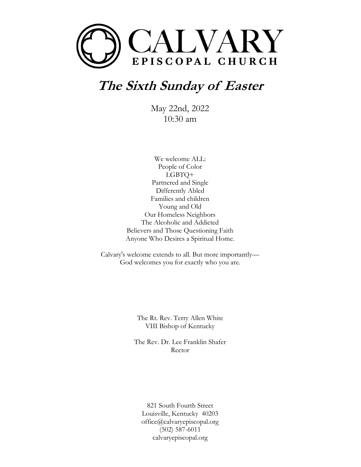

# **The Sixth Sunday of Easter**

May 22nd, 2022 10:30 am

We welcome ALL: People of Color LGBTQ+ Partnered and Single Differently Abled Families and children Young and Old Our Homeless Neighbors The Alcoholic and Addicted Believers and Those Questioning Faith Anyone Who Desires a Spiritual Home.

Calvary's welcome extends to all. But more importantly— God welcomes you for exactly who you are.

> The Rt. Rev. Terry Allen White VIII Bishop of Kentucky

The Rev. Dr. Lee Franklin Shafer Rector

821 South Fourth Street Louisville, Kentucky 40203 office@calvaryepiscopal.org (502) 587-6011 calvaryepiscopal.org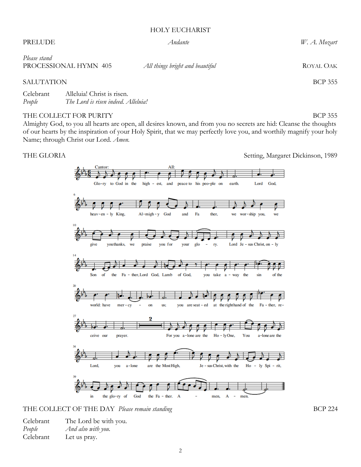#### HOLY EUCHARIST

| PRELUDE                               | Andante                         | W. A. Mozart   |
|---------------------------------------|---------------------------------|----------------|
| Please stand<br>PROCESSIONAL HYMN 405 | All things bright and beautiful | ROYAL OAK      |
| <b>SALUTATION</b>                     |                                 | <b>BCP</b> 355 |

Celebrant Alleluia! Christ is risen. *People The Lord is risen indeed. Alleluia!* 

#### THE COLLECT FOR PURITY SERVICES AND THE COLLECT FOR PURITY

Almighty God, to you all hearts are open, all desires known, and from you no secrets are hid: Cleanse the thoughts of our hearts by the inspiration of your Holy Spirit, that we may perfectly love you, and worthily magnify your holy Name; through Christ our Lord. *Amen.*

THE GLORIA Setting, Margaret Dickinson, 1989



THE COLLECT OF THE DAY *Please remain standing* BCP 224

| Celebrant | The Lord be with you. |
|-----------|-----------------------|
| People    | And also with you.    |
| Celebrant | Let us pray.          |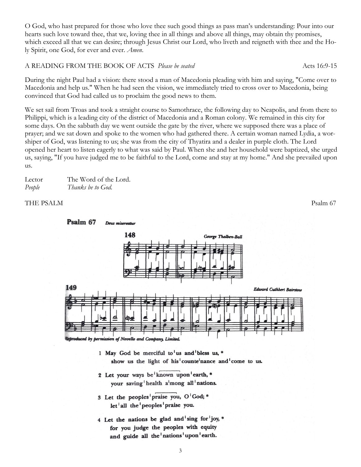O God, who hast prepared for those who love thee such good things as pass man's understanding: Pour into our hearts such love toward thee, that we, loving thee in all things and above all things, may obtain thy promises, which exceed all that we can desire; through Jesus Christ our Lord, who liveth and reigneth with thee and the Holy Spirit, one God, for ever and ever. *Amen*.

# A READING FROM THE BOOK OF ACTS *Please be seated* Acts 16:9-15

During the night Paul had a vision: there stood a man of Macedonia pleading with him and saying, "Come over to Macedonia and help us." When he had seen the vision, we immediately tried to cross over to Macedonia, being convinced that God had called us to proclaim the good news to them.

We set sail from Troas and took a straight course to Samothrace, the following day to Neapolis, and from there to Philippi, which is a leading city of the district of Macedonia and a Roman colony. We remained in this city for some days. On the sabbath day we went outside the gate by the river, where we supposed there was a place of prayer; and we sat down and spoke to the women who had gathered there. A certain woman named Lydia, a worshiper of God, was listening to us; she was from the city of Thyatira and a dealer in purple cloth. The Lord opened her heart to listen eagerly to what was said by Paul. When she and her household were baptized, she urged us, saying, "If you have judged me to be faithful to the Lord, come and stay at my home." And she prevailed upon us.

| Lector | The Word of the Lord. |
|--------|-----------------------|
| People | Thanks be to God.     |

# THE PSALM Psalm 67



- 1 May God be merciful to us and bless us, \* show us the light of his counte nance and come to us.
- 2 Let your ways be known upon earth, \* your saving health a mong all nations.
- 3 Let the peoples praise you, O'God; \* let all the 'peoples' praise you.
- 4 Let the nations be glad and sing for joy, \* for you judge the peoples with equity and guide all the nations upon earth.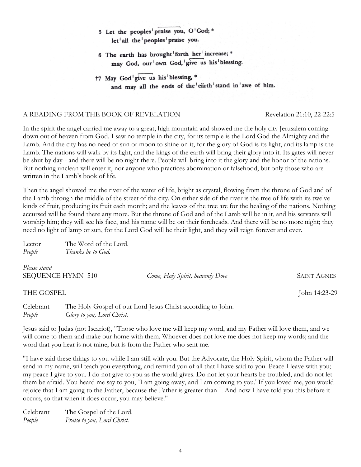- 5 Let the peoples praise you, O'God; \* let all the peoples praise you.
- 6 The earth has brought forth her increase; \* may God, our 'own God, 'give us his' blessing.
- †7 May God<sup>1</sup>give us his blessing, \* and may all the ends of the 'eärth' stand in ' awe of him.

### A READING FROM THE BOOK OF REVELATION Revelation 21:10, 22-22:5

In the spirit the angel carried me away to a great, high mountain and showed me the holy city Jerusalem coming down out of heaven from God. I saw no temple in the city, for its temple is the Lord God the Almighty and the Lamb. And the city has no need of sun or moon to shine on it, for the glory of God is its light, and its lamp is the Lamb. The nations will walk by its light, and the kings of the earth will bring their glory into it. Its gates will never be shut by day-- and there will be no night there. People will bring into it the glory and the honor of the nations. But nothing unclean will enter it, nor anyone who practices abomination or falsehood, but only those who are written in the Lamb's book of life.

Then the angel showed me the river of the water of life, bright as crystal, flowing from the throne of God and of the Lamb through the middle of the street of the city. On either side of the river is the tree of life with its twelve kinds of fruit, producing its fruit each month; and the leaves of the tree are for the healing of the nations. Nothing accursed will be found there any more. But the throne of God and of the Lamb will be in it, and his servants will worship him; they will see his face, and his name will be on their foreheads. And there will be no more night; they need no light of lamp or sun, for the Lord God will be their light, and they will reign forever and ever.

| Lector<br>People | The Word of the Lord.<br>Thanks be to God. |                                  |                    |
|------------------|--------------------------------------------|----------------------------------|--------------------|
| Please stand     | <b>SEQUENCE HYMN 510</b>                   | Come, Holy Spirit, heavenly Dove | <b>SAINT AGNES</b> |
| THE GOSPEL       |                                            |                                  | John 14:23-29      |

| Celebrant | The Holy Gospel of our Lord Jesus Christ according to John. |
|-----------|-------------------------------------------------------------|
| People    | Glory to you, Lord Christ.                                  |

Jesus said to Judas (not Iscariot), "Those who love me will keep my word, and my Father will love them, and we will come to them and make our home with them. Whoever does not love me does not keep my words; and the word that you hear is not mine, but is from the Father who sent me.

"I have said these things to you while I am still with you. But the Advocate, the Holy Spirit, whom the Father will send in my name, will teach you everything, and remind you of all that I have said to you. Peace I leave with you; my peace I give to you. I do not give to you as the world gives. Do not let your hearts be troubled, and do not let them be afraid. You heard me say to you, `I am going away, and I am coming to you.' If you loved me, you would rejoice that I am going to the Father, because the Father is greater than I. And now I have told you this before it occurs, so that when it does occur, you may believe."

| Celebrant | The Gospel of the Lord.     |
|-----------|-----------------------------|
| People    | Praise to you, Lord Christ. |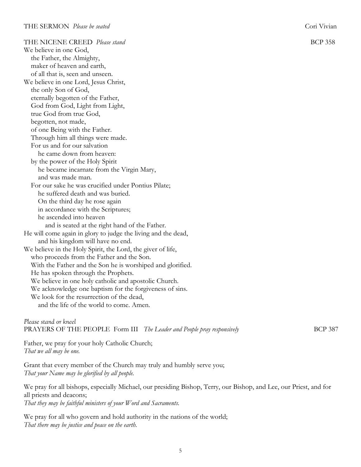THE NICENE CREED *Please stand* BCP 358 We believe in one God, the Father, the Almighty, maker of heaven and earth, of all that is, seen and unseen. We believe in one Lord, Jesus Christ, the only Son of God, eternally begotten of the Father, God from God, Light from Light, true God from true God, begotten, not made, of one Being with the Father. Through him all things were made. For us and for our salvation he came down from heaven: by the power of the Holy Spirit he became incarnate from the Virgin Mary, and was made man. For our sake he was crucified under Pontius Pilate; he suffered death and was buried. On the third day he rose again in accordance with the Scriptures; he ascended into heaven and is seated at the right hand of the Father. He will come again in glory to judge the living and the dead, and his kingdom will have no end. We believe in the Holy Spirit, the Lord, the giver of life, who proceeds from the Father and the Son. With the Father and the Son he is worshiped and glorified. He has spoken through the Prophets. We believe in one holy catholic and apostolic Church. We acknowledge one baptism for the forgiveness of sins. We look for the resurrection of the dead. and the life of the world to come. Amen.

*Please stand or kneel* PRAYERS OF THE PEOPLE Form III *The Leader and People pray responsively* BCP 387

Father, we pray for your holy Catholic Church; *That we all may be one.* 

Grant that every member of the Church may truly and humbly serve you; *That your Name may be glorified by all people.* 

We pray for all bishops, especially Michael, our presiding Bishop, Terry, our Bishop, and Lee, our Priest, and for all priests and deacons; *That they may be faithful ministers of your Word and Sacraments.* 

We pray for all who govern and hold authority in the nations of the world; *That there may be justice and peace on the earth.*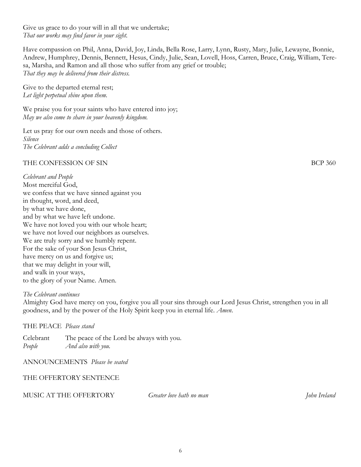Give us grace to do your will in all that we undertake; *That our works may find favor in your sight.* 

Have compassion on Phil, Anna, David, Joy, Linda, Bella Rose, Larry, Lynn, Rusty, Mary, Julie, Lewayne, Bonnie, Andrew, Humphrey, Dennis, Bennett, Hesus, Cindy, Julie, Sean, Lovell, Hoss, Carren, Bruce, Craig, William, Teresa, Marsha, and Ramon and all those who suffer from any grief or trouble; *That they may be delivered from their distress.* 

Give to the departed eternal rest; *Let light perpetual shine upon them.* 

We praise you for your saints who have entered into joy; *May we also come to share in your heavenly kingdom.* 

Let us pray for our own needs and those of others. *Silence The Celebrant adds a concluding Collect* 

# THE CONFESSION OF SIN BCP 360

*Celebrant and People* Most merciful God, we confess that we have sinned against you in thought, word, and deed, by what we have done, and by what we have left undone. We have not loved you with our whole heart; we have not loved our neighbors as ourselves. We are truly sorry and we humbly repent. For the sake of your Son Jesus Christ, have mercy on us and forgive us; that we may delight in your will, and walk in your ways, to the glory of your Name. Amen.

#### *The Celebrant continues*

Almighty God have mercy on you, forgive you all your sins through our Lord Jesus Christ, strengthen you in all goodness, and by the power of the Holy Spirit keep you in eternal life. *Amen*.

# THE PEACE *Please stand*

Celebrant The peace of the Lord be always with you. *People And also with you.*

# ANNOUNCEMENTS *Please be seated*

#### THE OFFERTORY SENTENCE

MUSIC AT THE OFFERTORY *Greater love hath no man John Ireland*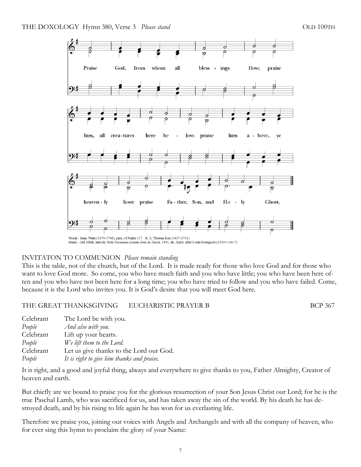

Music: Old 100th, melody from Pseaumes octante trois de David, 1551, alt.; harm. after Louis Bourgeois (1510?-1561?)

#### INVITATON TO COMMUNION *Please remain standing*

This is the table, not of the church, but of the Lord. It is made ready for those who love God and for those who want to love God more. So come, you who have much faith and you who have little; you who have been here often and you who have not been here for a long time; you who have tried to follow and you who have failed. Come, because it is the Lord who invites you. It is God's desire that you will meet God here.

#### THE GREAT THANKSGIVING EUCHARISTIC PRAYER B BCP 367

| Celebrant | The Lord be with you.                      |
|-----------|--------------------------------------------|
| People    | And also with you.                         |
| Celebrant | Lift up your hearts.                       |
| People    | We lift them to the Lord.                  |
| Celebrant | Let us give thanks to the Lord our God.    |
| People    | It is right to give him thanks and praise. |

It is right, and a good and joyful thing, always and everywhere to give thanks to you, Father Almighty, Creator of heaven and earth.

But chiefly are we bound to praise you for the glorious resurrection of your Son Jesus Christ our Lord; for he is the true Paschal Lamb, who was sacrificed for us, and has taken away the sin of the world. By his death he has destroyed death, and by his rising to life again he has won for us everlasting life.

Therefore we praise you, joining our voices with Angels and Archangels and with all the company of heaven, who for ever sing this hymn to proclaim the glory of your Name: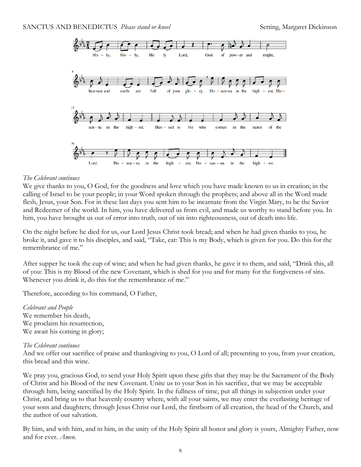

### *The Celebrant continues*

We give thanks to you, O God, for the goodness and love which you have made known to us in creation; in the calling of Israel to be your people; in your Word spoken through the prophets; and above all in the Word made flesh, Jesus, your Son. For in these last days you sent him to be incarnate from the Virgin Mary, to be the Savior and Redeemer of the world. In him, you have delivered us from evil, and made us worthy to stand before you. In him, you have brought us out of error into truth, out of sin into righteousness, out of death into life.

On the night before he died for us, our Lord Jesus Christ took bread; and when he had given thanks to you, he broke it, and gave it to his disciples, and said, "Take, eat: This is my Body, which is given for you. Do this for the remembrance of me."

After supper he took the cup of wine; and when he had given thanks, he gave it to them, and said, "Drink this, all of you: This is my Blood of the new Covenant, which is shed for you and for many for the forgiveness of sins. Whenever you drink it, do this for the remembrance of me."

Therefore, according to his command, O Father,

*Celebrant and People* We remember his death, We proclaim his resurrection, We await his coming in glory;

#### *The Celebrant continues*

And we offer our sacrifice of praise and thanksgiving to you, O Lord of all; presenting to you, from your creation, this bread and this wine.

We pray you, gracious God, to send your Holy Spirit upon these gifts that they may be the Sacrament of the Body of Christ and his Blood of the new Covenant. Unite us to your Son in his sacrifice, that we may be acceptable through him, being sanctified by the Holy Spirit. In the fullness of time, put all things in subjection under your Christ, and bring us to that heavenly country where, with all your saints, we may enter the everlasting heritage of your sons and daughters; through Jesus Christ our Lord, the firstborn of all creation, the head of the Church, and the author of our salvation.

By him, and with him, and in him, in the unity of the Holy Spirit all honor and glory is yours, Almighty Father, now and for ever. *Amen*.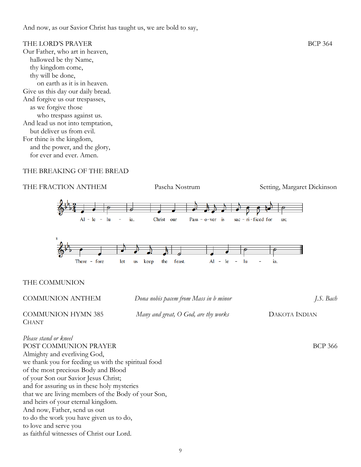And now, as our Savior Christ has taught us, we are bold to say,

# THE LORD'S PRAYER BCP 364

Our Father, who art in heaven, hallowed be thy Name, thy kingdom come, thy will be done, on earth as it is in heaven. Give us this day our daily bread. And forgive us our trespasses, as we forgive those who trespass against us. And lead us not into temptation, but deliver us from evil. For thine is the kingdom, and the power, and the glory, for ever and ever. Amen.

#### THE BREAKING OF THE BREAD

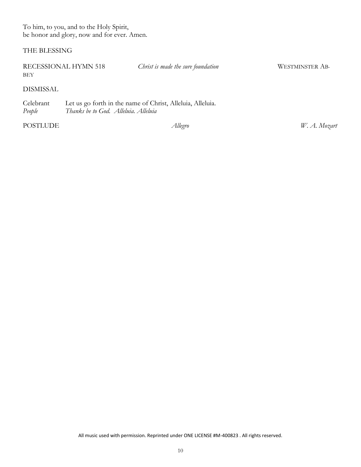To him, to you, and to the Holy Spirit, be honor and glory, now and for ever. Amen.

# THE BLESSING

| BEY                 | RECESSIONAL HYMN 518                 | Christ is made the sure foundation                         | <b>WESTMINSTER AB-</b> |
|---------------------|--------------------------------------|------------------------------------------------------------|------------------------|
| DISMISSAL           |                                      |                                                            |                        |
| Celebrant<br>People | Thanks be to God. Alleluia. Alleluia | Let us go forth in the name of Christ, Alleluia, Alleluia. |                        |
| POSTLUDE            |                                      | Allegro                                                    | W. A. Mozart           |

All music used with permission. Reprinted under ONE LICENSE #M-400823 . All rights reserved.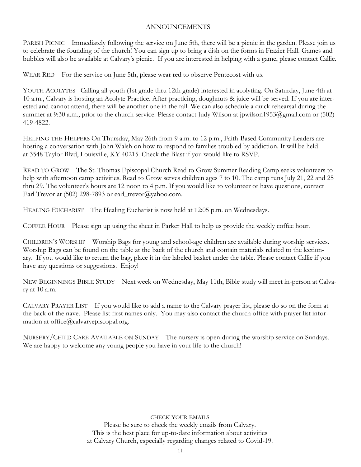# ANNOUNCEMENTS

PARISH PICNIC Immediately following the service on June 5th, there will be a picnic in the garden. Please join us to celebrate the founding of the church! You can sign up to bring a dish on the forms in Frazier Hall. Games and bubbles will also be available at Calvary's picnic. If you are interested in helping with a game, please contact Callie.

WEAR RED For the service on June 5th, please wear red to observe Pentecost with us.

YOUTH ACOLYTES Calling all youth (1st grade thru 12th grade) interested in acolyting. On Saturday, June 4th at 10 a.m., Calvary is hosting an Acolyte Practice. After practicing, doughnuts & juice will be served. If you are interested and cannot attend, there will be another one in the fall. We can also schedule a quick rehearsal during the summer at 9:30 a.m., prior to the church service. Please contact Judy Wilson at jpwilson1953@gmail.com or (502) 419-4822.

HELPING THE HELPERS On Thursday, May 26th from 9 a.m. to 12 p.m., Faith-Based Community Leaders are hosting a conversation with John Walsh on how to respond to families troubled by addiction. It will be held at 3548 Taylor Blvd, Louisville, KY 40215. Check the Blast if you would like to RSVP.

READ TO GROW The St. Thomas Episcopal Church Read to Grow Summer Reading Camp seeks volunteers to help with afternoon camp activities. Read to Grow serves children ages 7 to 10. The camp runs July 21, 22 and 25 thru 29. The volunteer's hours are 12 noon to 4 p.m. If you would like to volunteer or have questions, contact Earl Trevor at (502) 298-7893 or earl\_trevor@yahoo.com.

HEALING EUCHARIST The Healing Eucharist is now held at 12:05 p.m. on Wednesdays.

COFFEE HOUR Please sign up using the sheet in Parker Hall to help us provide the weekly coffee hour.

CHILDREN'S WORSHIP Worship Bags for young and school-age children are available during worship services. Worship Bags can be found on the table at the back of the church and contain materials related to the lectionary. If you would like to return the bag, place it in the labeled basket under the table. Please contact Callie if you have any questions or suggestions. Enjoy!

NEW BEGINNINGS BIBLE STUDY Next week on Wednesday, May 11th, Bible study will meet in-person at Calvary at 10 a.m.

CALVARY PRAYER LIST If you would like to add a name to the Calvary prayer list, please do so on the form at the back of the nave. Please list first names only. You may also contact the church office with prayer list information at office@calvaryepiscopal.org.

NURSERY/CHILD CARE AVAILABLE ON SUNDAY The nursery is open during the worship service on Sundays. We are happy to welcome any young people you have in your life to the church!

#### CHECK YOUR EMAILS

Please be sure to check the weekly emails from Calvary. This is the best place for up-to-date information about activities at Calvary Church, especially regarding changes related to Covid-19.